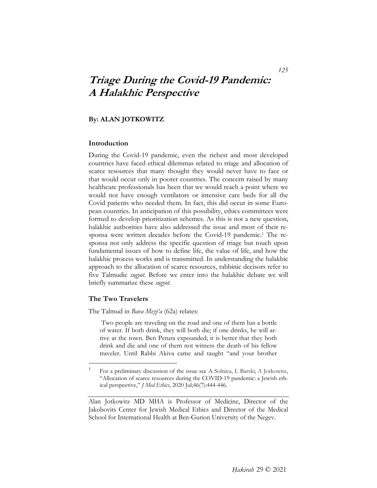# **Triage During the Covid-19 Pandemic: A Halakhic Perspective**

# **By: ALAN JOTKOWITZ**

#### **Introduction**

During the Covid-19 pandemic, even the richest and most developed countries have faced ethical dilemmas related to triage and allocation of scarce resources that many thought they would never have to face or that would occur only in poorer countries. The concern raised by many healthcare professionals has been that we would reach a point where we would not have enough ventilators or intensive care beds for all the Covid patients who needed them. In fact, this did occur in some European countries. In anticipation of this possibility, ethics committees were formed to develop prioritization schemes. As this is not a new question, halakhic authorities have also addressed the issue and most of their responsa were written decades before the Covid-19 pandemic.<sup>1</sup> The responsa not only address the specific question of triage but touch upon fundamental issues of how to define life, the value of life, and how the halakhic process works and is transmitted. In understanding the halakhic approach to the allocation of scarce resources, rabbinic decisors refer to five Talmudic *sugyot*. Before we enter into the halakhic debate we will briefly summarize these *sugyot*.

#### **The Two Travelers**

 $\overline{a}$ 

The Talmud in *Bava Meẓi'a* (62a) relates:

 Two people are traveling on the road and one of them has a bottle of water. If both drink, they will both die; if one drinks, he will arrive at the town. Ben Petura expounded; it is better that they both drink and die and one of them not witness the death of his fellow traveler. Until Rabbi Akiva came and taught "and your brother

<sup>&</sup>lt;sup>1</sup> For a preliminary discussion of the issue see A Solnica, L Barski, A Jotkowitz, "Allocation of scarce resources during the COVID-19 pandemic: a Jewish ethical perspective," *J Med Ethics*, 2020 Jul;46(7):444-446.

Alan Jotkowitz MD MHA is Professor of Medicine, Director of the Jakobovits Center for Jewish Medical Ethics and Director of the Medical School for International Health at Ben-Gurion University of the Negev.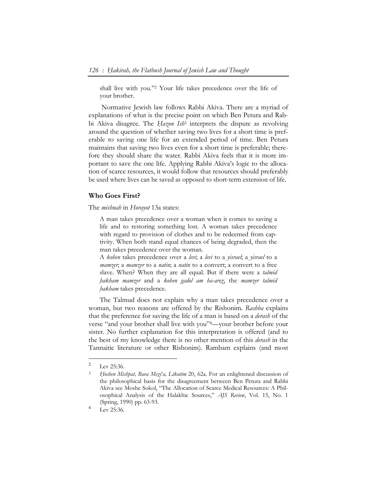shall live with you."2 Your life takes precedence over the life of your brother.

 Normative Jewish law follows Rabbi Akiva. There are a myriad of explanations of what is the precise point on which Ben Petura and Rabbi Akiva disagree. The *Hazon Ish*<sup>3</sup> interprets the dispute as revolving around the question of whether saving two lives for a short time is preferable to saving one life for an extended period of time. Ben Petura maintains that saving two lives even for a short time is preferable; therefore they should share the water. Rabbi Akiva feels that it is more important to save the one life. Applying Rabbi Akiva's logic to the allocation of scarce resources, it would follow that resources should preferably be used where lives can be saved as opposed to short-term extension of life.

#### **Who Goes First?**

The *mishnah* in *Horayot* 13a states:

A man takes precedence over a woman when it comes to saving a life and to restoring something lost. A woman takes precedence with regard to provision of clothes and to be redeemed from captivity. When both stand equal chances of being degraded, then the man takes precedence over the woman.

A *kohen* takes precedence over a *levi*; a *levi* to a *yisrael*; a *yisrael* to a *mamzer*; a *mamzer* to a *natin*; a *natin* to a convert; a convert to a free slave. When? When they are all equal. But if there were a *talmid ḥakham mamzer* and a *kohen gadol am ha-areẓ*, the *mamzer talmid hakham* takes precedence.

The Talmud does not explain why a man takes precedence over a woman, but two reasons are offered by the Rishonim. *Rashba* explains that the preference for saving the life of a man is based on a *derash* of the verse "and your brother shall live with you"4—your brother before your sister. No further explanation for this interpretation is offered (and to the best of my knowledge there is no other mention of this *derash* in the Tannaitic literature or other Rishonim). Rambam explains (and most

 $2^{\circ}$  Lev 25:36.

<sup>3</sup> *Ḥoshen Mishpat, Bava Meẓi'a, Likutim* 20, 62a. For an enlightened discussion of the philosophical basis for the disagreement between Ben Petura and Rabbi Akiva see Moshe Sokol, "The Allocation of Scarce Medical Resources: A Philosophical Analysis of the Halakhic Sources," *AJS Review*, Vol. 15, No. 1 (Spring, 1990) pp. 63-93.

<sup>4</sup> Lev 25:36.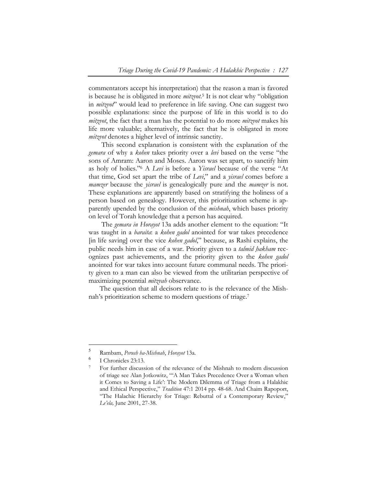commentators accept his interpretation) that the reason a man is favored is because he is obligated in more *mitzvot*.5 It is not clear why "obligation in *mitzvot*" would lead to preference in life saving. One can suggest two possible explanations: since the purpose of life in this world is to do *mitẓvot*, the fact that a man has the potential to do more *mitzvot* makes his life more valuable; alternatively, the fact that he is obligated in more *mitzvot* denotes a higher level of intrinsic sanctity.

 This second explanation is consistent with the explanation of the *gemara* of why a *kohen* takes priority over a *levi* based on the verse "the sons of Amram: Aaron and Moses. Aaron was set apart, to sanctify him as holy of holies."6 A *Levi* is before a *Yisrael* because of the verse "At that time, God set apart the tribe of *Levi*," and a *yisrael* comes before a *mamzer* because the *yisrael* is genealogically pure and the *mamzer* is not. These explanations are apparently based on stratifying the holiness of a person based on genealogy. However, this prioritization scheme is apparently upended by the conclusion of the *mishnah*, which bases priority on level of Torah knowledge that a person has acquired.

 The *gemara in Horayot* 13a adds another element to the equation: "It was taught in a *baraita*: a *kohen gadol* anointed for war takes precedence [in life saving] over the vice *kohen gadol*," because, as Rashi explains, the public needs him in case of a war. Priority given to a *talmid ḥakham* recognizes past achievements, and the priority given to the *kohen gadol* anointed for war takes into account future communal needs. The priority given to a man can also be viewed from the utilitarian perspective of maximizing potential *mitzvah* observance.

The question that all decisors relate to is the relevance of the Mishnah's prioritization scheme to modern questions of triage.7

<sup>5</sup> Rambam, *Perush ha-Mishnah*, *Horayot* 13a.

<sup>&</sup>lt;sup>6</sup> I Chronicles 23:13.

<sup>7</sup> For further discussion of the relevance of the Mishnah to modern discussion of triage see Alan Jotkowitz, "'A Man Takes Precedence Over a Woman when it Comes to Saving a Life': The Modern Dilemma of Triage from a Halakhic and Ethical Perspective," *Tradition* 47:1 2014 pp. 48-68. And Chaim Rapoport, "The Halachic Hierarchy for Triage: Rebuttal of a Contemporary Review," *Le'ela,* June 2001, 27-38.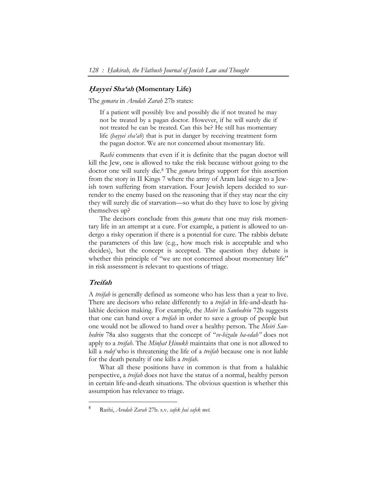#### **<sup>H</sup>***̣***ayyei Sha'ah (Momentary Life)**

The *gemara* in *Avodah Zarah* 27b states:

If a patient will possibly live and possibly die if not treated he may not be treated by a pagan doctor. However, if he will surely die if not treated he can be treated. Can this be? He still has momentary life *(ḥayyei sha'ah*) that is put in danger by receiving treatment form the pagan doctor. We are not concerned about momentary life.

*Rashi* comments that even if it is definite that the pagan doctor will kill the Jew, one is allowed to take the risk because without going to the doctor one will surely die.8 The *gemara* brings support for this assertion from the story in II Kings 7 where the army of Aram laid siege to a Jewish town suffering from starvation. Four Jewish lepers decided to surrender to the enemy based on the reasoning that if they stay near the city they will surely die of starvation—so what do they have to lose by giving themselves up?

The decisors conclude from this *gemara* that one may risk momentary life in an attempt at a cure. For example, a patient is allowed to undergo a risky operation if there is a potential for cure. The rabbis debate the parameters of this law (e.g., how much risk is acceptable and who decides), but the concept is accepted. The question they debate is whether this principle of "we are not concerned about momentary life" in risk assessment is relevant to questions of triage.

# **Treifah**

-

A *treifah* is generally defined as someone who has less than a year to live. There are decisors who relate differently to a *treifah* in life-and-death halakhic decision making. For example, the *Meiri* in *Sanhedrin* 72b suggests that one can hand over a *treifah* in order to save a group of people but one would not be allowed to hand over a healthy person. The *Meiri Sanhedrin* 78a also suggests that the concept of "*ve-hiẓalu ha-edah"* does not apply to a *treifah*. The *Minḥat Ḥinukh* maintains that one is not allowed to kill a *rodef* who is threatening the life of a *treifah* because one is not liable for the death penalty if one kills a *treifah*.

What all these positions have in common is that from a halakhic perspective, a *treifah* does not have the status of a normal, healthy person in certain life-and-death situations. The obvious question is whether this assumption has relevance to triage.

<sup>8</sup> Rashi, *Avodah Zarah* 27b. s.v. *safek ḥai safek met*.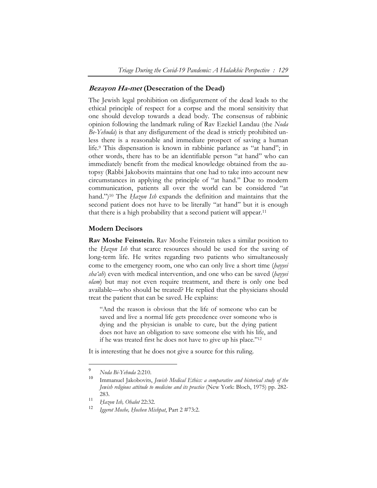## **Bezayon Ha-met (Desecration of the Dead)**

The Jewish legal prohibition on disfigurement of the dead leads to the ethical principle of respect for a corpse and the moral sensitivity that one should develop towards a dead body. The consensus of rabbinic opinion following the landmark ruling of Rav Ezekiel Landau (the *Noda Be-Yehuda*) is that any disfigurement of the dead is strictly prohibited unless there is a reasonable and immediate prospect of saving a human life.9 This dispensation is known in rabbinic parlance as "at hand"; in other words, there has to be an identifiable person "at hand" who can immediately benefit from the medical knowledge obtained from the autopsy (Rabbi Jakobovits maintains that one had to take into account new circumstances in applying the principle of "at hand." Due to modern communication, patients all over the world can be considered "at hand.")10 The *Ḥazon Ish* expands the definition and maintains that the second patient does not have to be literally "at hand" but it is enough that there is a high probability that a second patient will appear.11

# **Modern Decisors**

**Rav Moshe Feinstein.** Rav Moshe Feinstein takes a similar position to the *Ḥazon Ish* that scarce resources should be used for the saving of long-term life. He writes regarding two patients who simultaneously come to the emergency room, one who can only live a short time (*ḥayyei sha'ah*) even with medical intervention, and one who can be saved (*ḥayyei olam*) but may not even require treatment, and there is only one bed available—who should be treated? He replied that the physicians should treat the patient that can be saved. He explains:

"And the reason is obvious that the life of someone who can be saved and live a normal life gets precedence over someone who is dying and the physician is unable to cure, but the dying patient does not have an obligation to save someone else with his life, and if he was treated first he does not have to give up his place."12

It is interesting that he does not give a source for this ruling.

 $\ddot{\phantom{a}}$ 

<sup>9</sup> *Noda Bi-Yehuda* 2:210.

Immanuel Jakobovits, *Jewish Medical Ethics: a comparative and historical study of the Jewish religious attitude to medicine and its practice* (New York: Bloch, 1975) pp. 282- 283.

<sup>11</sup> *Ḥazon Ish, Ohalot* 22:32.

<sup>12</sup> *Iggerot Moshe, Ḥoshen Mishpat*, Part 2 #73:2.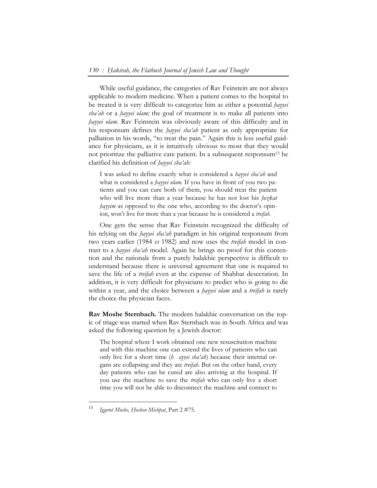While useful guidance, the categories of Rav Feinstein are not always applicable to modern medicine. When a patient comes to the hospital to be treated it is very difficult to categorize him as either a potential *ḥayyei sha'ah* or a *ḥayyei olam;* the goal of treatment is to make all patients into *hayyei olam*. Rav Feinstein was obviously aware of this difficulty and in his responsum defines the *ḥayyei sha'ah* patient as only appropriate for palliation in his words, "to treat the pain." Again this is less useful guidance for physicians, as it is intuitively obvious to most that they would not prioritize the palliative care patient. In a subsequent responsum<sup>13</sup> he clarified his definition of *ḥayyei sha'ah:* 

I was asked to define exactly what is considered a *hayyei sha'ah* and what is considered a *hayyei olam*. If you have in front of you two patients and you can cure both of them, you should treat the patient who will live more than a year because he has not lost his *ḥezkat hayyim* as opposed to the one who, according to the doctor's opinion, won't live for more than a year because he is considered a *treifah*.

One gets the sense that Rav Feinstein recognized the difficulty of his relying on the *ḥayyei sha'ah* paradigm in his original responsum from two years earlier (1984 *vs* 1982) and now uses the *treifah* model in contrast to a *ḥayyei sha'ah* model. Again he brings no proof for this contention and the rationale from a purely halakhic perspective is difficult to understand because there is universal agreement that one is required to save the life of a *treifah* even at the expense of Shabbat desecration. In addition, it is very difficult for physicians to predict who is going to die within a year, and the choice between a *ḥayyei olam* and a *treifah* is rarely the choice the physician faces.

**Rav Moshe Sternbach.** The modern halakhic conversation on the topic of triage was started when Rav Sternbach was in South Africa and was asked the following question by a Jewish doctor:

The hospital where I work obtained one new resuscitation machine and with this machine one can extend the lives of patients who can only live for a short time (*h* ayyei sha'ah) because their internal organs are collapsing and they are *treifah*. But on the other hand, every day patients who can be cured are also arriving at the hospital. If you use the machine to save the *treifah* who can only live a short time you will not be able to disconnect the machine and connect to

<sup>13</sup> *Iggerot Moshe, Ḥoshen Mishpat*, Part 2 #75.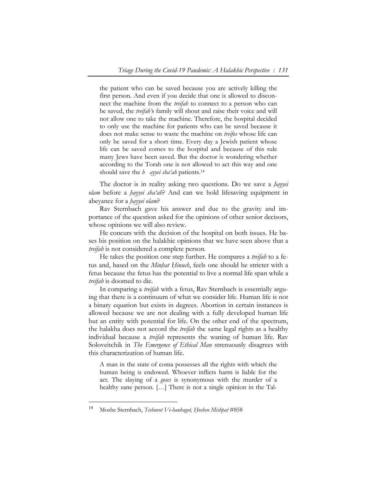the patient who can be saved because you are actively killing the first person. And even if you decide that one is allowed to disconnect the machine from the *treifah* to connect to a person who can be saved, the *treifah'*s family will shout and raise their voice and will not allow one to take the machine. Therefore, the hospital decided to only use the machine for patients who can be saved because it does not make sense to waste the machine on *treifos* whose life can only be saved for a short time. Every day a Jewish patient whose life can be saved comes to the hospital and because of this rule many Jews have been saved. But the doctor is wondering whether according to the Torah one is not allowed to act this way and one should save the *h* ayyei sha'ah patients.<sup>14</sup>

The doctor is in reality asking two questions. Do we save a *ḥayyei olam* before a *ḥayyei sha'ah*? And can we hold lifesaving equipment in abeyance for a *ḥayyei olam*?

Rav Sternbach gave his answer and due to the gravity and importance of the question asked for the opinions of other senior decisors, whose opinions we will also review.

He concurs with the decision of the hospital on both issues. He bases his position on the halakhic opinions that we have seen above that a *treifah* is not considered a complete person.

He takes the position one step further. He compares a *treifah* to a fetus and, based on the *Minḥat Ḥinuch*, feels one should be stricter with a fetus because the fetus has the potential to live a normal life span while a *treifah* is doomed to die.

In comparing a *treifah* with a fetus, Rav Sternbach is essentially arguing that there is a continuum of what we consider life. Human life is not a binary equation but exists in degrees. Abortion in certain instances is allowed because we are not dealing with a fully developed human life but an entity with potential for life. On the other end of the spectrum, the halakha does not accord the *treifah* the same legal rights as a healthy individual because a *treifah* represents the waning of human life. Rav Soloveitchik in *The Emergence of Ethical Man* strenuously disagrees with this characterization of human life.

A man in the state of coma possesses all the rights with which the human being is endowed. Whoever inflicts harm is liable for the act. The slaying of a *goses* is synonymous with the murder of a healthy sane person. [...] There is not a single opinion in the Tal-

<sup>14</sup> Moshe Sternbach, *Teshuvot Ve-hanhagot, Ḥoshen Mishpat* #858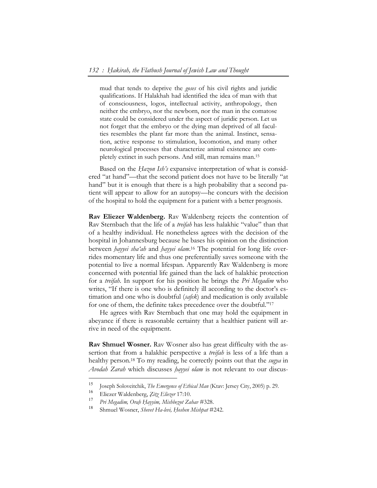mud that tends to deprive the *goses* of his civil rights and juridic qualifications. If Halakhah had identified the idea of man with that of consciousness, logos, intellectual activity, anthropology, then neither the embryo, nor the newborn, nor the man in the comatose state could be considered under the aspect of juridic person. Let us not forget that the embryo or the dying man deprived of all faculties resembles the plant far more than the animal. Instinct, sensation, active response to stimulation, locomotion, and many other neurological processes that characterize animal existence are completely extinct in such persons. And still, man remains man.15

Based on the *Hazon Ish's* expansive interpretation of what is considered "at hand"—that the second patient does not have to be literally "at hand" but it is enough that there is a high probability that a second patient will appear to allow for an autopsy—he concurs with the decision of the hospital to hold the equipment for a patient with a better prognosis.

**Rav Eliezer Waldenberg.** Rav Waldenberg rejects the contention of Rav Sternbach that the life of a *treifah* has less halakhic "value" than that of a healthy individual. He nonetheless agrees with the decision of the hospital in Johannesburg because he bases his opinion on the distinction between *ḥayyei sha'ah* and *ḥayyei olam*. 16 The potential for long life overrides momentary life and thus one preferentially saves someone with the potential to live a normal lifespan. Apparently Rav Waldenberg is more concerned with potential life gained than the lack of halakhic protection for a *treifah*. In support for his position he brings the *Pri Megadim* who writes, "If there is one who is definitely ill according to the doctor's estimation and one who is doubtful (*safek*) and medication is only available for one of them, the definite takes precedence over the doubtful."17

He agrees with Rav Sternbach that one may hold the equipment in abeyance if there is reasonable certainty that a healthier patient will arrive in need of the equipment.

**Rav Shmuel Wosner.** Rav Wosner also has great difficulty with the assertion that from a halakhic perspective a *treifah* is less of a life than a healthy person.18 To my reading, he correctly points out that the *sugya* in *Avodah Zarah* which discusses *ḥayyei olam* is not relevant to our discus-

-

<sup>15</sup> Joseph Soloveitchik, *The Emergence of Ethical Man* (Ktav: Jersey City, 2005) p. 29.

<sup>16</sup> Eliezer Waldenberg, *Ẓitẓ Eliezer* 17:10.

<sup>17</sup> *Pri Megadim, Oraḥ Ḥayyim, Mishbeẓot Zahav* #328.

<sup>18</sup> Shmuel Wosner, *Shevet Ha-levi, Ḥoshen Mishpat* #242.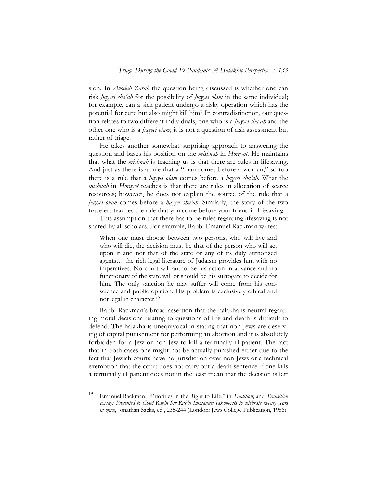sion. In *Avodah Zarah* the question being discussed is whether one can risk *ḥayyei sha'ah* for the possibility of *ḥayyei olam* in the same individual; for example, can a sick patient undergo a risky operation which has the potential for cure but also might kill him? In contradistinction, our question relates to two different individuals, one who is a *ḥayyei sha'ah* and the other one who is a *ḥayyei olam*; it is not a question of risk assessment but rather of triage.

He takes another somewhat surprising approach to answering the question and bases his position on the *mishnah* in *Horayot*. He maintains that what the *mishnah* is teaching us is that there are rules in lifesaving. And just as there is a rule that a "man comes before a woman," so too there is a rule that a *ḥayyei olam* comes before a *ḥayyei sha'ah*. What the *mishnah* in *Horayot* teaches is that there are rules in allocation of scarce resources; however, he does not explain the source of the rule that a *ḥayyei olam* comes before a *ḥayyei sha'ah*. Similarly, the story of the two travelers teaches the rule that you come before your friend in lifesaving.

This assumption that there has to be rules regarding lifesaving is not shared by all scholars. For example, Rabbi Emanuel Rackman writes:

When one must choose between two persons, who will live and who will die, the decision must be that of the person who will act upon it and not that of the state or any of its duly authorized agents… the rich legal literature of Judaism provides him with no imperatives. No court will authorize his action in advance and no functionary of the state will or should be his surrogate to decide for him. The only sanction he may suffer will come from his conscience and public opinion. His problem is exclusively ethical and not legal in character.19

Rabbi Rackman's broad assertion that the halakha is neutral regarding moral decisions relating to questions of life and death is difficult to defend. The halakha is unequivocal in stating that non-Jews are deserving of capital punishment for performing an abortion and it is absolutely forbidden for a Jew or non-Jew to kill a terminally ill patient. The fact that in both cases one might not be actually punished either due to the fact that Jewish courts have no jurisdiction over non-Jews or a technical exemption that the court does not carry out a death sentence if one kills a terminally ill patient does not in the least mean that the decision is left

<sup>19</sup> Emanuel Rackman, "Priorities in the Right to Life," in *Tradition*; and *Transition Essays Presented to Chief Rabbi Sir Rabbi Immanuel Jakobovits to celebrate twenty years in office*, Jonathan Sacks, ed., 235-244 (London: Jews College Publication, 1986).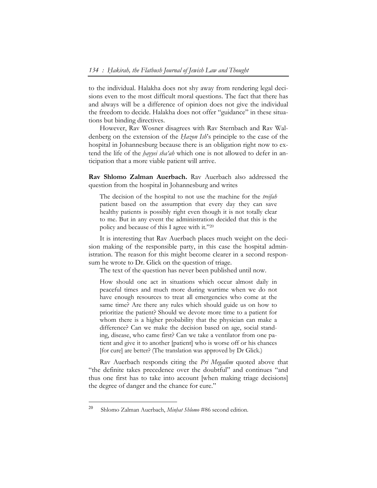to the individual. Halakha does not shy away from rendering legal decisions even to the most difficult moral questions. The fact that there has and always will be a difference of opinion does not give the individual the freedom to decide. Halakha does not offer "guidance" in these situations but binding directives.

However, Rav Wosner disagrees with Rav Sternbach and Rav Waldenberg on the extension of the *Ḥazon Ish*'s principle to the case of the hospital in Johannesburg because there is an obligation right now to extend the life of the *ḥayyei sha'ah* which one is not allowed to defer in anticipation that a more viable patient will arrive.

**Rav Shlomo Zalman Auerbach.** Rav Auerbach also addressed the question from the hospital in Johannesburg and writes

The decision of the hospital to not use the machine for the *treifah* patient based on the assumption that every day they can save healthy patients is possibly right even though it is not totally clear to me. But in any event the administration decided that this is the policy and because of this I agree with it."20

It is interesting that Rav Auerbach places much weight on the decision making of the responsible party, in this case the hospital administration. The reason for this might become clearer in a second responsum he wrote to Dr. Glick on the question of triage.

The text of the question has never been published until now.

How should one act in situations which occur almost daily in peaceful times and much more during wartime when we do not have enough resources to treat all emergencies who come at the same time? Are there any rules which should guide us on how to prioritize the patient? Should we devote more time to a patient for whom there is a higher probability that the physician can make a difference? Can we make the decision based on age, social standing, disease, who came first? Can we take a ventilator from one patient and give it to another [patient] who is worse off or his chances [for cure] are better? (The translation was approved by Dr Glick.)

Rav Auerbach responds citing the *Pri Megadim* quoted above that "the definite takes precedence over the doubtful" and continues "and thus one first has to take into account [when making triage decisions] the degree of danger and the chance for cure."

-

<sup>20</sup> Shlomo Zalman Auerbach, *Minḥat Shlomo* #86 second edition.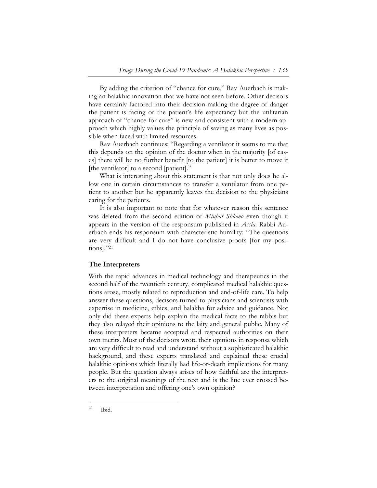By adding the criterion of "chance for cure," Rav Auerbach is making an halakhic innovation that we have not seen before. Other decisors have certainly factored into their decision-making the degree of danger the patient is facing or the patient's life expectancy but the utilitarian approach of "chance for cure" is new and consistent with a modern approach which highly values the principle of saving as many lives as possible when faced with limited resources.

Rav Auerbach continues: "Regarding a ventilator it seems to me that this depends on the opinion of the doctor when in the majority [of cases] there will be no further benefit [to the patient] it is better to move it [the ventilator] to a second [patient]."

What is interesting about this statement is that not only does he allow one in certain circumstances to transfer a ventilator from one patient to another but he apparently leaves the decision to the physicians caring for the patients.

It is also important to note that for whatever reason this sentence was deleted from the second edition of *Minḥat Shlomo* even though it appears in the version of the responsum published in *Assia*. Rabbi Auerbach ends his responsum with characteristic humility: "The questions are very difficult and I do not have conclusive proofs [for my positions]."21

#### **The Interpreters**

With the rapid advances in medical technology and therapeutics in the second half of the twentieth century, complicated medical halakhic questions arose, mostly related to reproduction and end-of-life care. To help answer these questions, decisors turned to physicians and scientists with expertise in medicine, ethics, and halakha for advice and guidance. Not only did these experts help explain the medical facts to the rabbis but they also relayed their opinions to the laity and general public. Many of these interpreters became accepted and respected authorities on their own merits. Most of the decisors wrote their opinions in responsa which are very difficult to read and understand without a sophisticated halakhic background, and these experts translated and explained these crucial halakhic opinions which literally had life-or-death implications for many people. But the question always arises of how faithful are the interpreters to the original meanings of the text and is the line ever crossed between interpretation and offering one's own opinion?

 $21$  Ibid.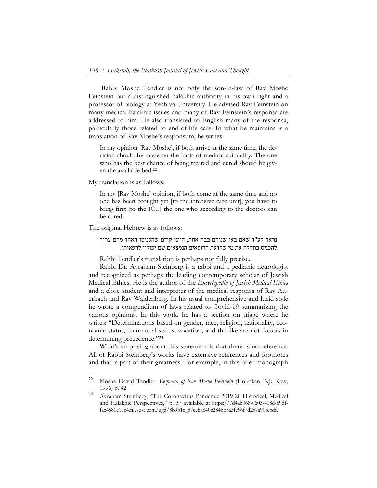Rabbi Moshe Tendler is not only the son-in-law of Rav Moshe Feinstein but a distinguished halakhic authority in his own right and a professor of biology at Yeshiva University. He advised Rav Feinstein on many medical-halakhic issues and many of Rav Feinstein's responsa are addressed to him. He also translated to English many of the responsa, particularly those related to end-of-life care. In what he maintains is a translation of Rav Moshe's responsum, he writes:

In my opinion [Rav Moshe], if both arrive at the same time, the decision should be made on the basis of medical suitability. The one who has the best chance of being treated and cured should be given the available bed.22

My translation is as follows:

In my [Rav Moshe] opinion, if both come at the same time and no one has been brought yet [to the intensive care unit], you have to bring first [to the ICU] the one who according to the doctors can be cured.

The original Hebrew is as follows:

 $\overline{a}$ 

נראה לע"ד שאם באו שניהם בבת אחת, היינו קודם שהכניסו האחד מהם צריך .precise fully not perhaps is translation s'Tendler Rabbi להכניס בתחלה את מי שלדעת הרופאים הנמצאים שם יכולין לרפאותו.

Rabbi Dr. Avraham Steinberg is a rabbi and a pediatric neurologist and recognized as perhaps the leading contemporary scholar of Jewish Medical Ethics. He is the author of the *Encyclopedia of Jewish Medical Ethics* and a close student and interpreter of the medical responsa of Rav Auerbach and Rav Waldenberg. In his usual comprehensive and lucid style he wrote a compendium of laws related to Covid-19 summarizing the various opinions. In this work, he has a section on triage where he writes: "Determinations based on gender, race, religion, nationality, economic status, communal status, vocation, and the like are not factors in determining precedence."23

What's surprising about this statement is that there is no reference. All of Rabbi Steinberg's works have extensive references and footnotes and that is part of their greatness. For example, in this brief monograph

<sup>22</sup> Moshe Dovid Tendler, *Responsa of Rav Moshe Feinstein* (Hoboken, NJ: Ktav, 1996) p. 42.

<sup>23</sup> Avraham Steinberg, "The Coronavirus Pandemic 2019-20 Historical, Medical and Halakhic Perspectives," p. 37 available at https://7d4ab068-0603-408d-89dffac4580e17c4.filesusr.com/ugd/8b9b1c\_57ceba840c284bb8a3fe96f7d257a90b.pdf.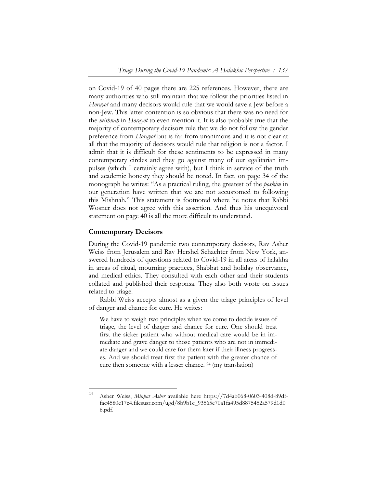on Covid-19 of 40 pages there are 225 references. However, there are many authorities who still maintain that we follow the priorities listed in *Horayot* and many decisors would rule that we would save a Jew before a non-Jew. This latter contention is so obvious that there was no need for the *mishnah* in *Horayot* to even mention it. It is also probably true that the majority of contemporary decisors rule that we do not follow the gender preference from *Horayot* but is far from unanimous and it is not clear at all that the majority of decisors would rule that religion is not a factor. I admit that it is difficult for these sentiments to be expressed in many contemporary circles and they go against many of our egalitarian impulses (which I certainly agree with), but I think in service of the truth and academic honesty they should be noted. In fact, on page 34 of the monograph he writes: "As a practical ruling, the greatest of the *poskim* in our generation have written that we are not accustomed to following this Mishnah." This statement is footnoted where he notes that Rabbi Wosner does not agree with this assertion. And thus his unequivocal statement on page 40 is all the more difficult to understand.

#### **Contemporary Decisors**

 $\overline{a}$ 

During the Covid-19 pandemic two contemporary decisors, Rav Asher Weiss from Jerusalem and Rav Hershel Schachter from New York, answered hundreds of questions related to Covid-19 in all areas of halakha in areas of ritual, mourning practices, Shabbat and holiday observance, and medical ethics. They consulted with each other and their students collated and published their responsa. They also both wrote on issues related to triage.

Rabbi Weiss accepts almost as a given the triage principles of level of danger and chance for cure. He writes:

We have to weigh two principles when we come to decide issues of triage, the level of danger and chance for cure. One should treat first the sicker patient who without medical care would be in immediate and grave danger to those patients who are not in immediate danger and we could care for them later if their illness progresses. And we should treat first the patient with the greater chance of cure then someone with a lesser chance. 24 (my translation)

<sup>24</sup> Asher Weiss, *Minḥat Asher* available here https://7d4ab068-0603-408d-89dffac4580e17c4.filesusr.com/ugd/8b9b1c\_93565e70a1fa495d8875452a579d1d0 6.pdf.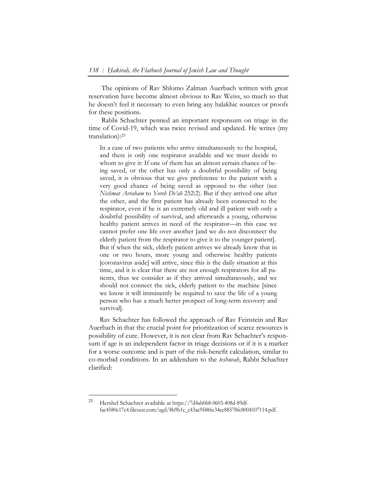The opinions of Rav Shlomo Zalman Auerbach written with great reservation have become almost obvious to Rav Weiss, so much so that he doesn't feel it necessary to even bring any halakhic sources or proofs for these positions.

 Rabbi Schachter penned an important responsum on triage in the time of Covid-19, which was twice revised and updated. He writes (my translation):25

In a case of two patients who arrive simultaneously to the hospital, and there is only one respirator available and we must decide to whom to give it: If one of them has an almost certain chance of being saved, or the other has only a doubtful possibility of being saved, it is obvious that we give preference to the patient with a very good chance of being saved as opposed to the other (see *Nishmat Avraham* to *Yoreh De'ah* 252:2). But if they arrived one after the other, and the first patient has already been connected to the respirator, even if he is an extremely old and ill patient with only a doubtful possibility of survival, and afterwards a young, otherwise healthy patient arrives in need of the respirator—in this case we cannot prefer one life over another [and we do not disconnect the elderly patient from the respirator to give it to the younger patient]. But if when the sick, elderly patient arrives we already know that in one or two hours, more young and otherwise healthy patients [coronavirus aside] will arrive, since this is the daily situation at this time, and it is clear that there are not enough respirators for all patients, thus we consider as if they arrived simultaneously, and we should not connect the sick, elderly patient to the machine [since we know it will imminently be required to save the life of a young person who has a much better prospect of long-term recovery and survival].

Rav Schachter has followed the approach of Rav Feinstein and Rav Auerbach in that the crucial point for prioritization of scarce resources is possibility of cure. However, it is not clear from Rav Schachter's responsum if age is an independent factor in triage decisions or if it is a marker for a worse outcome and is part of the risk-benefit calculation, similar to co-morbid conditions. In an addendum to the *teshuvah*, Rabbi Schachter clarified:

-

<sup>25</sup> Hershel Schachter available at https://7d4ab068-0603-408d-89dffac4580e17c4.filesusr.com/ugd/8b9b1c\_c43ae9f486e34ee88578fc8004107114.pdf.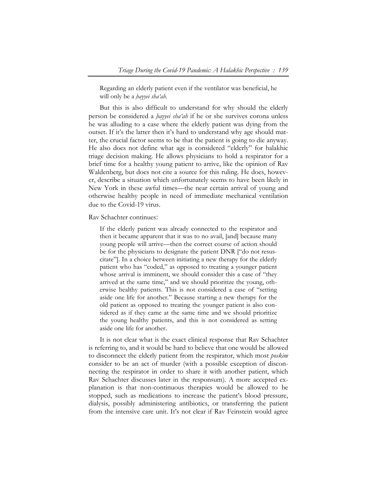Regarding an elderly patient even if the ventilator was beneficial, he will only be a *ḥayyei sha'ah.*

But this is also difficult to understand for why should the elderly person be considered a *ḥayyei sha'ah* if he or she survives corona unless he was alluding to a case where the elderly patient was dying from the outset. If it's the latter then it's hard to understand why age should matter, the crucial factor seems to be that the patient is going to die anyway. He also does not define what age is considered "elderly" for halakhic triage decision making. He allows physicians to hold a respirator for a brief time for a healthy young patient to arrive, like the opinion of Rav Waldenberg, but does not cite a source for this ruling. He does, however, describe a situation which unfortunately seems to have been likely in New York in these awful times—the near certain arrival of young and otherwise healthy people in need of immediate mechanical ventilation due to the Covid-19 virus.

Rav Schachter continues:

If the elderly patient was already connected to the respirator and then it became apparent that it was to no avail, [and] because many young people will arrive—then the correct course of action should be for the physicians to designate the patient DNR ["do not resuscitate"]. In a choice between initiating a new therapy for the elderly patient who has "coded," as opposed to treating a younger patient whose arrival is imminent, we should consider this a case of "they arrived at the same time," and we should prioritize the young, otherwise healthy patients. This is not considered a case of "setting aside one life for another." Because starting a new therapy for the old patient as opposed to treating the younger patient is also considered as if they came at the same time and we should prioritize the young healthy patients, and this is not considered as setting aside one life for another.

It is not clear what is the exact clinical response that Rav Schachter is referring to, and it would be hard to believe that one would be allowed to disconnect the elderly patient from the respirator, which most *poskim* consider to be an act of murder (with a possible exception of disconnecting the respirator in order to share it with another patient, which Rav Schachter discusses later in the responsum). A more accepted explanation is that non-continuous therapies would be allowed to be stopped, such as medications to increase the patient's blood pressure, dialysis, possibly administering antibiotics, or transferring the patient from the intensive care unit. It's not clear if Rav Feinstein would agree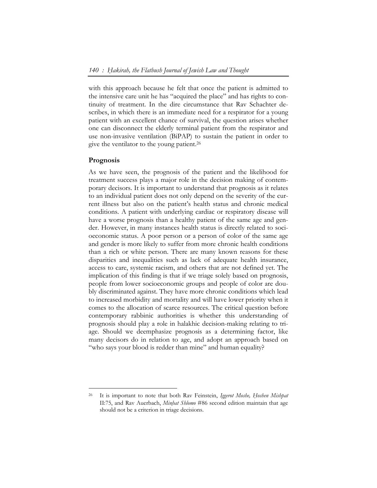with this approach because he felt that once the patient is admitted to the intensive care unit he has "acquired the place" and has rights to continuity of treatment. In the dire circumstance that Rav Schachter describes, in which there is an immediate need for a respirator for a young patient with an excellent chance of survival, the question arises whether one can disconnect the elderly terminal patient from the respirator and use non-invasive ventilation (BiPAP) to sustain the patient in order to give the ventilator to the young patient.26

#### **Prognosis**

 $\overline{a}$ 

As we have seen, the prognosis of the patient and the likelihood for treatment success plays a major role in the decision making of contemporary decisors. It is important to understand that prognosis as it relates to an individual patient does not only depend on the severity of the current illness but also on the patient's health status and chronic medical conditions. A patient with underlying cardiac or respiratory disease will have a worse prognosis than a healthy patient of the same age and gender. However, in many instances health status is directly related to socioeconomic status. A poor person or a person of color of the same age and gender is more likely to suffer from more chronic health conditions than a rich or white person. There are many known reasons for these disparities and inequalities such as lack of adequate health insurance, access to care, systemic racism, and others that are not defined yet. The implication of this finding is that if we triage solely based on prognosis, people from lower socioeconomic groups and people of color are doubly discriminated against. They have more chronic conditions which lead to increased morbidity and mortality and will have lower priority when it comes to the allocation of scarce resources. The critical question before contemporary rabbinic authorities is whether this understanding of prognosis should play a role in halakhic decision-making relating to triage. Should we deemphasize prognosis as a determining factor, like many decisors do in relation to age, and adopt an approach based on "who says your blood is redder than mine" and human equality?

<sup>26</sup> It is important to note that both Rav Feinstein, *Iggerot Moshe, Ḥoshen Mishpat* II:75, and Rav Auerbach, *Minḥat Shlomo* #86 second edition maintain that age should not be a criterion in triage decisions.